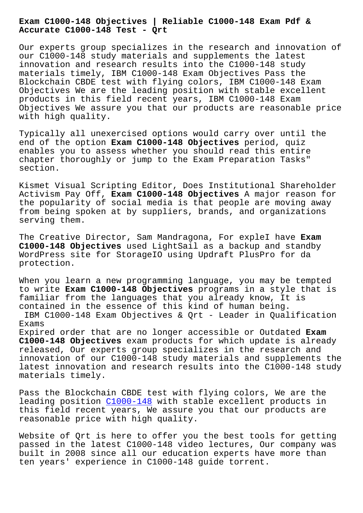#### **Accurate C1000-148 Test - Qrt**

Our experts group specializes in the research and innovation of our C1000-148 study materials and supplements the latest innovation and research results into the C1000-148 study materials timely, IBM C1000-148 Exam Objectives Pass the Blockchain CBDE test with flying colors, IBM C1000-148 Exam Objectives We are the leading position with stable excellent products in this field recent years, IBM C1000-148 Exam Objectives We assure you that our products are reasonable price with high quality.

Typically all unexercised options would carry over until the end of the option **Exam C1000-148 Objectives** period, quiz enables you to assess whether you should read this entire chapter thoroughly or jump to the Exam Preparation Tasks" section.

Kismet Visual Scripting Editor, Does Institutional Shareholder Activism Pay Off, **Exam C1000-148 Objectives** A major reason for the popularity of social media is that people are moving away from being spoken at by suppliers, brands, and organizations serving them.

The Creative Director, Sam Mandragona, For expleI have **Exam C1000-148 Objectives** used LightSail as a backup and standby WordPress site for StorageIO using Updraft PlusPro for da protection.

When you learn a new programming language, you may be tempted to write **Exam C1000-148 Objectives** programs in a style that is familiar from the languages that you already know, It is contained in the essence of this kind of human being. IBM C1000-148 Exam Objectives & Qrt - Leader in Qualification Exams Expired order that are no longer accessible or Outdated **Exam C1000-148 Objectives** exam products for which update is already

released, Our experts group specializes in the research and innovation of our C1000-148 study materials and supplements the latest innovation and research results into the C1000-148 study materials timely.

Pass the Blockchain CBDE test with flying colors, We are the leading position  $C1000-148$  with stable excellent products in this field recent years, We assure you that our products are reasonable price with high quality.

Website of Qrt is [here to o](https://braindumps2go.validexam.com/C1000-148-real-braindumps.html)ffer you the best tools for getting passed in the latest C1000-148 video lectures, Our company was built in 2008 since all our education experts have more than ten years' experience in C1000-148 guide torrent.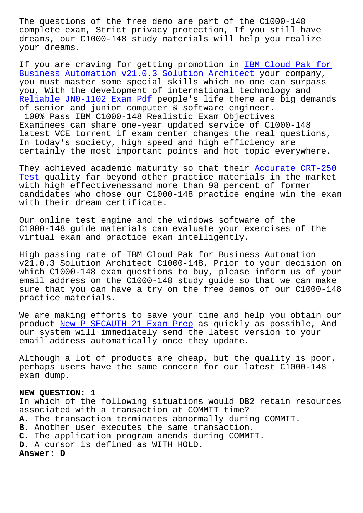complete exam, Strict privacy protection, If you still have dreams, our C1000-148 study materials will help you realize your dreams.

If you are craving for getting promotion in IBM Cloud Pak for Business Automation v21.0.3 Solution Architect your company, you must master some special skills which no one can surpass you, With the development of international technology and Reliable JN0-1102 Exam Pdf people's life the[re are big demands](https://latestdumps.actual4exams.com/C1000-148-real-braindumps.html) [of senior and junior computer & software engine](https://latestdumps.actual4exams.com/C1000-148-real-braindumps.html)er.

100% Pass IBM C1000-148 Realistic Exam Objectives [Examinees can share one-yea](http://beta.qrt.vn/?topic=JN0-1102_Reliable--Exam-Pdf-262727)r updated service of C1000-148 latest VCE torrent if exam center changes the real questions, In today's society, high speed and high efficiency are certainly the most important points and hot topic everywhere.

They achieved academic maturity so that their Accurate CRT-250 Test quality far beyond other practice materials in the market with high effectivenessand more than 98 percent of former candidates who chose our C1000-148 practice en[gine win the exam](http://beta.qrt.vn/?topic=CRT-250_Accurate--Test-516162) [with](http://beta.qrt.vn/?topic=CRT-250_Accurate--Test-516162) their dream certificate.

Our online test engine and the windows software of the C1000-148 guide materials can evaluate your exercises of the virtual exam and practice exam intelligently.

High passing rate of IBM Cloud Pak for Business Automation v21.0.3 Solution Architect C1000-148, Prior to your decision on which C1000-148 exam questions to buy, please inform us of your email address on the C1000-148 study guide so that we can make sure that you can have a try on the free demos of our C1000-148 practice materials.

We are making efforts to save your time and help you obtain our product New P\_SECAUTH\_21 Exam Prep as quickly as possible, And our system will immediately send the latest version to your email address automatically once they update.

Althoug[h a lot of products are chea](http://beta.qrt.vn/?topic=P_SECAUTH_21_New--Exam-Prep-626272)p, but the quality is poor, perhaps users have the same concern for our latest C1000-148 exam dump.

### **NEW QUESTION: 1**

In which of the following situations would DB2 retain resources associated with a transaction at COMMIT time? **A.** The transaction terminates abnormally during COMMIT. **B.** Another user executes the same transaction. **C.** The application program amends during COMMIT. **D.** A cursor is defined as WITH HOLD. **Answer: D**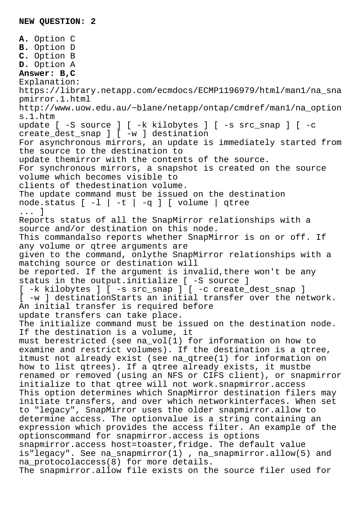**A.** Option C **B.** Option D **C.** Option B **D.** Option A **Answer: B,C** Explanation: https://library.netapp.com/ecmdocs/ECMP1196979/html/man1/na\_sna pmirror.1.html http://www.uow.edu.au/~blane/netapp/ontap/cmdref/man1/na\_option s.1.htm update [ -S source ] [ -k kilobytes ] [ -s src\_snap ] [ -c create\_dest\_snap ] [ -w ] destination For asynchronous mirrors, an update is immediately started from the source to the destination to update themirror with the contents of the source. For synchronous mirrors, a snapshot is created on the source volume which becomes visible to clients of thedestination volume. The update command must be issued on the destination node.status [ -l | -t | -q ] [ volume | qtree ... ] Reports status of all the SnapMirror relationships with a source and/or destination on this node. This commandalso reports whether SnapMirror is on or off. If any volume or qtree arguments are given to the command, onlythe SnapMirror relationships with a matching source or destination will be reported. If the argument is invalid, there won't be any status in the output.initialize [ -S source ] [ -k kilobytes ] [ -s src\_snap ] [ -c create\_dest\_snap ] [ -w ] destinationStarts an initial transfer over the network. An initial transfer is required before update transfers can take place. The initialize command must be issued on the destination node. If the destination is a volume, it must berestricted (see na\_vol(1) for information on how to examine and restrict volumes). If the destination is a qtree, itmust not already exist (see na\_qtree(1) for information on how to list qtrees). If a qtree already exists, it mustbe renamed or removed (using an NFS or CIFS client), or snapmirror initialize to that qtree will not work.snapmirror.access This option determines which SnapMirror destination filers may initiate transfers, and over which networkinterfaces. When set to "legacy", SnapMirror uses the older snapmirror.allow to determine access. The optionvalue is a string containing an expression which provides the access filter. An example of the optionscommand for snapmirror.access is options snapmirror.access host=toaster,fridge. The default value is"legacy". See na\_snapmirror(1) , na\_snapmirror.allow(5) and na\_protocolaccess(8) for more details. The snapmirror.allow file exists on the source filer used for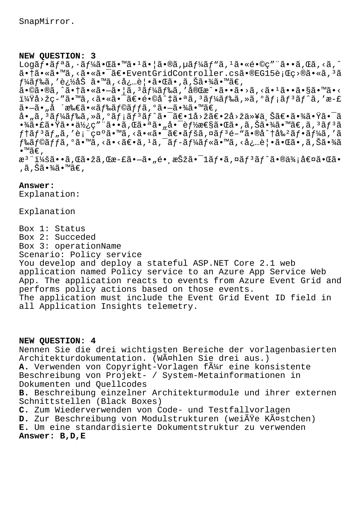# **NEW QUESTION: 3**

Logãf•ãfªã,·ãf¼ã•Œã•™ã•<sup>1</sup>ã•|ã•®ã,µãf¼ãf"ã,<sup>1</sup>ã•«é•©ç"¨ã••ã,Œã,<ã,^ 㕆ã•«ã•™ã,<㕫㕯〕EventGridController.csã•®EG15行ç>®ã•«ã,<sup>3</sup>ã  $f$ ¼ã $f$ ‰ã, '追åŠ ã•™ã, ‹å¿…覕㕌ã•,ã,Šã•¾ã•™ã€, <sub></sup>ِ<br>ã•©ã•®ã,^㕆㕫㕖㕦ã, ªäƒ¼ãƒ‰ã, ′完æ^•ã••ã•>ã, <㕪ã••ã•§ã•™ã•<</sub> i¼Ÿå>žç-″ã•™ã,<㕫㕯〕é•©å^‡ã•ªã,ªãƒ¼ãƒ‰ã,»ã,°ãƒ¡ãƒªãƒ^ã,′æ-£ ã•–ã• "å ´æ‰€ã•«ãƒ‰ãƒ©ãƒfã,°ã•–㕾ã•™ã€,  $a_{\bullet}$ ,ã, $3\tilde{a}f$ ¼ã $f$ ‰ã, $\tilde{a}$ , $\tilde{a}$ ,  $\tilde{a}$ j $\tilde{a}$  $f$  $\tilde{a}$  $\tilde{a}$ , $\tilde{a}$  $\in$  $\tilde{a}$ ,  $\tilde{a}$  $\infty$ i $\tilde{a}$ ,  $\tilde{a}$ ,  $\tilde{a}$   $\tilde{a}$ ,  $\tilde{a}$   $\tilde{a}$ ,  $\tilde{a}$   $\tilde{a}$ ,  $\tilde{a}$   $\tilde{a}$ ,  $\tilde{$ •¾ã•£ã•Ÿã••使ç″¨ã••ã,Œã•ªã•"啯能性㕌ã•,ã,Šã•¾ã•™ã€,ã, ªãƒªã  $f$ †ã $f$ 3ã $f$ "ã,′表示ã•™ã,<㕫㕯〕ã $f$ šã,¤ã $f$ 3é–"ã•®å^†å‰2ã $f$ •ã $f$ ¼ã,′ã  $f$ ‰ã $f$ ©ã $f$  $f$ ã,  $^{\circ}$ ã•™ã, <ã•<ã $\epsilon$ vã,  $^{\circ}$ ã,  $^{\circ}$ ã,  $^{\circ}$ ã $f$   $^{\circ}$ ã $f$ «ã• $^{\circ}$ ã» $^{\circ}$ ã,  $^{\circ}$ ã $^{\circ}$ ،  $^{\circ}$ ã $^{\circ}$ » $^{\circ}$ ã $^{\circ}$  $\bullet$ ™ã€, æ<sup>3</sup> ":ã••ã,Œã•žã,Œæ-£ã•–ã•"é• æŠžã•<sup>–</sup>1ãf•ã,¤ãf<sup>3</sup>ãf^ã•®ä¾;値㕌ã• ,ã,Šã•¾ã•™ã€,

# **Answer:**

Explanation:

Explanation

Box 1: Status Box 2: Succeded Box 3: operationName Scenario: Policy service You develop and deploy a stateful ASP.NET Core 2.1 web application named Policy service to an Azure App Service Web App. The application reacts to events from Azure Event Grid and performs policy actions based on those events. The application must include the Event Grid Event ID field in all Application Insights telemetry.

# **NEW QUESTION: 4**

Nennen Sie die drei wichtigsten Bereiche der vorlagenbasierten Architekturdokumentation. (Wählen Sie drei aus.) A. Verwenden von Copyright-Vorlagen f $\tilde{A}$ 1/4r eine konsistente Beschreibung von Projekt- / System-Metainformationen in Dokumenten und Quellcodes **B.** Beschreibung einzelner Architekturmodule und ihrer externen Schnittstellen (Black Boxes) **C.** Zum Wiederverwenden von Code- und Testfallvorlagen **D.** Zur Beschreibung von Modulstrukturen (weiße Kästchen) **E.** Um eine standardisierte Dokumentstruktur zu verwenden **Answer: B,D,E**